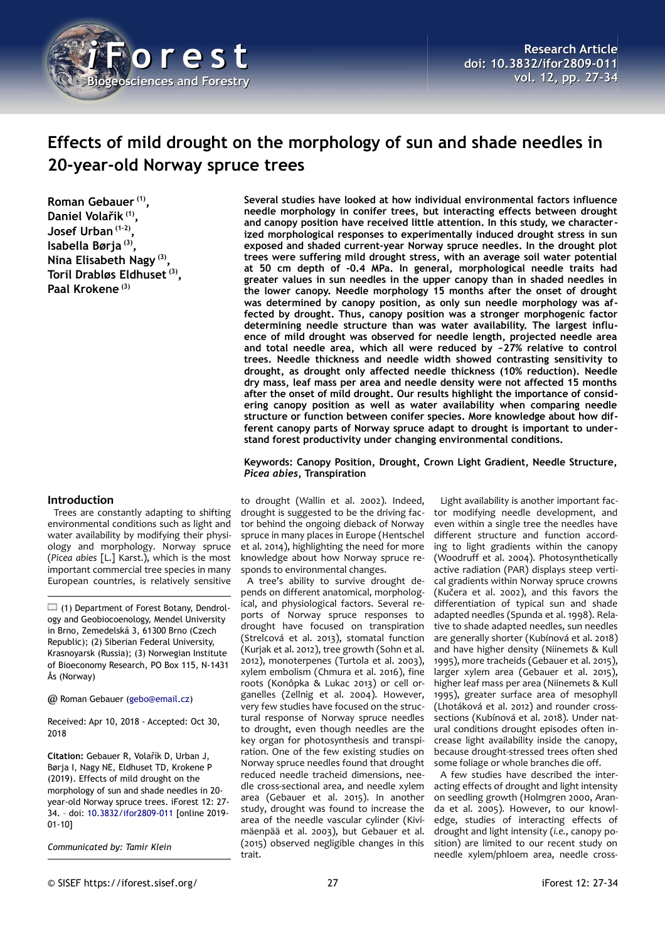

# **Effects of mild drought on the morphology of sun and shade needles in 20-year-old Norway spruce trees**

**Roman Gebauer (1) , Daniel Volařík (1) , Josef Urban (1-2) , Isabella Børja (3) , Nina Elisabeth Nagy (3) , Toril Drabløs Eldhuset (3) , Paal Krokene (3)**

### **Introduction**

Trees are constantly adapting to shifting environmental conditions such as light and water availability by modifying their physiology and morphology. Norway spruce (*Picea abies* [L.] Karst.), which is the most important commercial tree species in many European countries, is relatively sensitive

 $\Box$  (1) Department of Forest Botany, Dendrology and Geobiocoenology, Mendel University in Brno, Zemedelská 3, 61300 Brno (Czech Republic); (2) Siberian Federal University, Krasnoyarsk (Russia); (3) Norwegian Institute of Bioeconomy Research, PO Box 115, N-1431 Ås (Norway)

@ Roman Gebauer [\(gebo@email.cz\)](mailto:gebo@email.cz)

Received: Apr 10, 2018 - Accepted: Oct 30, 2018

**Citation:** Gebauer R, Volařík D, Urban J, Børja I, Nagy NE, Eldhuset TD, Krokene P (2019). Effects of mild drought on the morphology of sun and shade needles in 20 year-old Norway spruce trees. iForest 12: 27- 34. – doi: [10.3832/ifor2809-011](http://www.sisef.it/iforest/contents/?id=ifor2809-011) [online 2019- 01-10]

*Communicated by: Tamir Klein*

**Several studies have looked at how individual environmental factors influence needle morphology in conifer trees, but interacting effects between drought and canopy position have received little attention. In this study, we characterized morphological responses to experimentally induced drought stress in sun exposed and shaded current-year Norway spruce needles. In the drought plot trees were suffering mild drought stress, with an average soil water potential at 50 cm depth of -0.4 MPa. In general, morphological needle traits had greater values in sun needles in the upper canopy than in shaded needles in the lower canopy. Needle morphology 15 months after the onset of drought was determined by canopy position, as only sun needle morphology was affected by drought. Thus, canopy position was a stronger morphogenic factor determining needle structure than was water availability. The largest influence of mild drought was observed for needle length, projected needle area and total needle area, which all were reduced by ~27% relative to control trees. Needle thickness and needle width showed contrasting sensitivity to drought, as drought only affected needle thickness (10% reduction). Needle dry mass, leaf mass per area and needle density were not affected 15 months after the onset of mild drought. Our results highlight the importance of considering canopy position as well as water availability when comparing needle structure or function between conifer species. More knowledge about how different canopy parts of Norway spruce adapt to drought is important to understand forest productivity under changing environmental conditions.**

**Keywords: Canopy Position, Drought, Crown Light Gradient, Needle Structure,** *Picea abies***, Transpiration**

to drought (Wallin et al. 2002). Indeed, drought is suggested to be the driving factor behind the ongoing dieback of Norway spruce in many places in Europe (Hentschel et al. 2014), highlighting the need for more knowledge about how Norway spruce responds to environmental changes.

A tree's ability to survive drought depends on different anatomical, morphological, and physiological factors. Several reports of Norway spruce responses to drought have focused on transpiration (Strelcová et al. 2013), stomatal function (Kurjak et al. 2012), tree growth (Sohn et al. 2012), monoterpenes (Turtola et al. 2003), xylem embolism (Chmura et al. 2016), fine roots (Konôpka & Lukac 2013) or cell organelles (Zellnig et al. 2004). However, very few studies have focused on the structural response of Norway spruce needles to drought, even though needles are the key organ for photosynthesis and transpiration. One of the few existing studies on Norway spruce needles found that drought reduced needle tracheid dimensions, needle cross-sectional area, and needle xylem area (Gebauer et al. 2015). In another study, drought was found to increase the area of the needle vascular cylinder (Kivimäenpää et al. 2003), but Gebauer et al. (2015) observed negligible changes in this trait.

Light availability is another important factor modifying needle development, and even within a single tree the needles have different structure and function according to light gradients within the canopy (Woodruff et al. 2004). Photosynthetically active radiation (PAR) displays steep vertical gradients within Norway spruce crowns (Kučera et al. 2002), and this favors the differentiation of typical sun and shade adapted needles (Spunda et al. 1998). Relative to shade adapted needles, sun needles are generally shorter (Kubínová et al. 2018) and have higher density (Niinemets & Kull 1995), more tracheids (Gebauer et al. 2015), larger xylem area (Gebauer et al. 2015), higher leaf mass per area (Niinemets & Kull 1995), greater surface area of mesophyll (Lhotáková et al. 2012) and rounder crosssections (Kubínová et al. 2018). Under natural conditions drought episodes often increase light availability inside the canopy, because drought-stressed trees often shed some foliage or whole branches die off.

A few studies have described the interacting effects of drought and light intensity on seedling growth (Holmgren 2000, Aranda et al. 2005). However, to our knowledge, studies of interacting effects of drought and light intensity (*i.e.*, canopy position) are limited to our recent study on needle xylem/phloem area, needle cross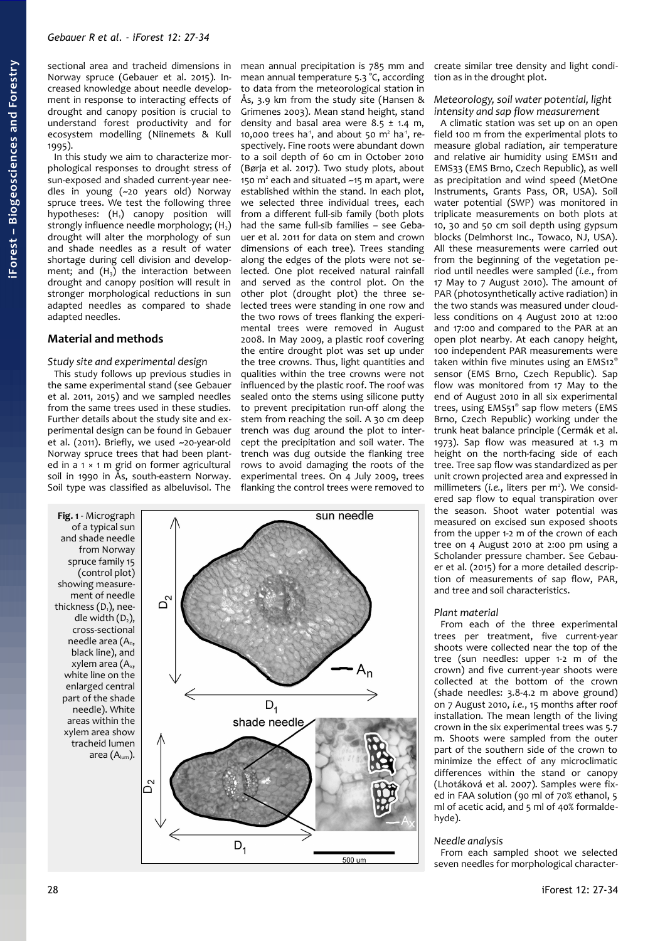sectional area and tracheid dimensions in Norway spruce (Gebauer et al. 2015). Increased knowledge about needle development in response to interacting effects of drought and canopy position is crucial to understand forest productivity and for ecosystem modelling (Niinemets & Kull 1995).

In this study we aim to characterize morphological responses to drought stress of sun-exposed and shaded current-year needles in young (~20 years old) Norway spruce trees. We test the following three hypotheses:  $(H_1)$  canopy position will strongly influence needle morphology;  $(H<sub>2</sub>)$ drought will alter the morphology of sun and shade needles as a result of water shortage during cell division and development; and  $(H_3)$  the interaction between drought and canopy position will result in stronger morphological reductions in sun adapted needles as compared to shade adapted needles.

# **Material and methods**

### *Study site and experimental design*

This study follows up previous studies in the same experimental stand (see Gebauer et al. 2011, 2015) and we sampled needles from the same trees used in these studies. Further details about the study site and experimental design can be found in Gebauer et al. (2011). Briefly, we used ~20-year-old Norway spruce trees that had been planted in a 1 × 1 m grid on former agricultural soil in 1990 in Ås, south-eastern Norway. Soil type was classified as albeluvisol. The mean annual precipitation is 785 mm and mean annual temperature 5.3 °C, according to data from the meteorological station in Ås, 3.9 km from the study site (Hansen & Grimenes 2003). Mean stand height, stand density and basal area were  $8.5 \pm 1.4$  m, 10,000 trees ha<sup>-1</sup>, and about 50  $m<sup>2</sup>$  ha<sup>-1</sup>, respectively. Fine roots were abundant down to a soil depth of 60 cm in October 2010 (Børja et al. 2017). Two study plots, about 150 m<sup>2</sup> each and situated ~15 m apart, were established within the stand. In each plot, we selected three individual trees, each from a different full-sib family (both plots had the same full-sib families – see Gebauer et al. 2011 for data on stem and crown dimensions of each tree). Trees standing along the edges of the plots were not selected. One plot received natural rainfall and served as the control plot. On the other plot (drought plot) the three selected trees were standing in one row and the two rows of trees flanking the experimental trees were removed in August 2008. In May 2009, a plastic roof covering the entire drought plot was set up under the tree crowns. Thus, light quantities and qualities within the tree crowns were not influenced by the plastic roof. The roof was sealed onto the stems using silicone putty to prevent precipitation run-off along the stem from reaching the soil. A 30 cm deep trench was dug around the plot to intercept the precipitation and soil water. The trench was dug outside the flanking tree rows to avoid damaging the roots of the experimental trees. On 4 July 2009, trees flanking the control trees were removed to

<span id="page-1-0"></span>

create similar tree density and light condition as in the drought plot.

### *Meteorology, soil water potential, light intensity and sap flow measurement*

A climatic station was set up on an open field 100 m from the experimental plots to measure global radiation, air temperature and relative air humidity using EMS11 and EMS33 (EMS Brno, Czech Republic), as well as precipitation and wind speed (MetOne Instruments, Grants Pass, OR, USA). Soil water potential (SWP) was monitored in triplicate measurements on both plots at 10, 30 and 50 cm soil depth using gypsum blocks (Delmhorst Inc., Towaco, NJ, USA). All these measurements were carried out from the beginning of the vegetation period until needles were sampled (*i.e.*, from 17 May to 7 August 2010). The amount of PAR (photosynthetically active radiation) in the two stands was measured under cloudless conditions on 4 August 2010 at 12:00 and 17:00 and compared to the PAR at an open plot nearby. At each canopy height, 100 independent PAR measurements were taken within five minutes using an EMS12® sensor (EMS Brno, Czech Republic). Sap flow was monitored from 17 May to the end of August 2010 in all six experimental trees, using EMS51<sup>®</sup> sap flow meters (EMS Brno, Czech Republic) working under the trunk heat balance principle (Cermák et al. 1973). Sap flow was measured at 1.3 m height on the north-facing side of each tree. Tree sap flow was standardized as per unit crown projected area and expressed in millimeters (i.e., liters per m<sup>2</sup>). We considered sap flow to equal transpiration over the season. Shoot water potential was measured on excised sun exposed shoots from the upper 1-2 m of the crown of each tree on 4 August 2010 at 2:00 pm using a Scholander pressure chamber. See Gebauer et al. (2015) for a more detailed description of measurements of sap flow, PAR, and tree and soil characteristics.

### *Plant material*

From each of the three experimental trees per treatment, five current-year shoots were collected near the top of the tree (sun needles: upper 1-2 m of the crown) and five current-year shoots were collected at the bottom of the crown (shade needles: 3.8-4.2 m above ground) on 7 August 2010, *i.e.*, 15 months after roof installation. The mean length of the living crown in the six experimental trees was 5.7 m. Shoots were sampled from the outer part of the southern side of the crown to minimize the effect of any microclimatic differences within the stand or canopy (Lhotáková et al. 2007). Samples were fixed in FAA solution (90 ml of 70% ethanol, 5 ml of acetic acid, and 5 ml of 40% formaldehyde).

### *Needle analysis*

From each sampled shoot we selected seven needles for morphological character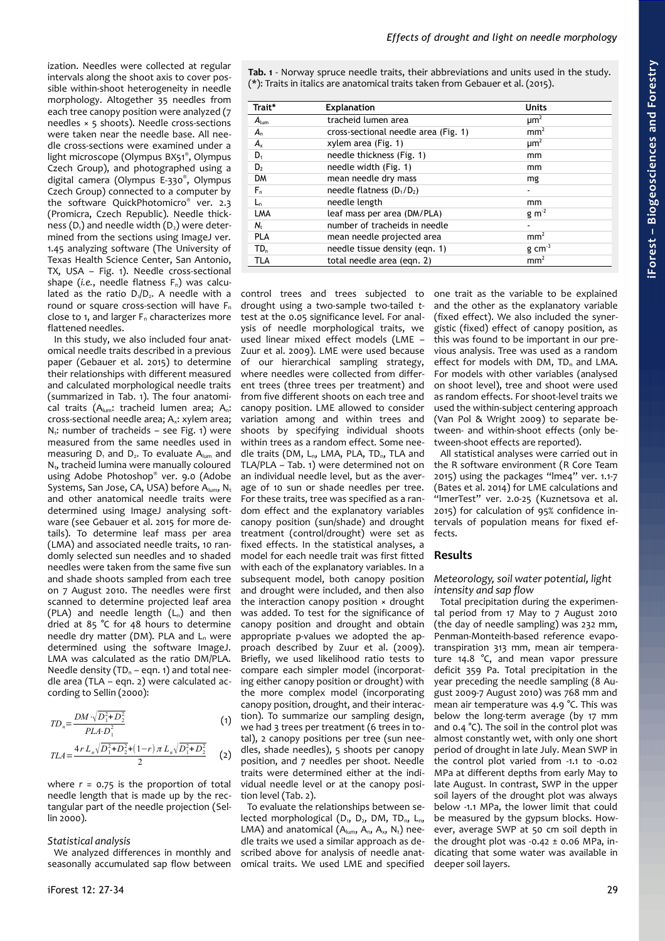ization. Needles were collected at regular intervals along the shoot axis to cover possible within-shoot heterogeneity in needle morphology. Altogether 35 needles from each tree canopy position were analyzed (7 needles × 5 shoots). Needle cross-sections were taken near the needle base. All needle cross-sections were examined under a light microscope (Olympus BX51® , Olympus Czech Group), and photographed using a digital camera (Olympus E-330® , Olympus Czech Group) connected to a computer by the software QuickPhotomicro® ver. 2.3 (Promicra, Czech Republic). Needle thickness  $(D_1)$  and needle width  $(D_2)$  were determined from the sections using ImageJ ver. 1.45 analyzing software (The University of Texas Health Science Center, San Antonio, TX, USA – [Fig. 1\)](#page-1-0). Needle cross-sectional shape (*i.e.*, needle flatness F<sub>n</sub>) was calculated as the ratio  $D_1/D_2$ . A needle with a round or square cross-section will have  $F_n$ close to 1, and larger  $F_n$  characterizes more flattened needles.

In this study, we also included four anatomical needle traits described in a previous paper (Gebauer et al. 2015) to determine their relationships with different measured and calculated morphological needle traits (summarized in [Tab. 1\)](#page-2-0). The four anatomical traits (A<sub>lum</sub>: tracheid lumen area; A<sub>n</sub>: cross-sectional needle area; A<sub>x</sub>: xylem area;  $N_t$ : number of tracheids – see [Fig. 1\)](#page-1-0) were measured from the same needles used in measuring  $D_1$  and  $D_2$ . To evaluate  $A_{\text{lum}}$  and  $N_t$ , tracheid lumina were manually coloured using Adobe Photoshop® ver. 9.0 (Adobe Systems, San Jose, CA, USA) before  $A_{lum}$ , N<sub>t</sub> and other anatomical needle traits were determined using ImageJ analysing software (see Gebauer et al. 2015 for more details). To determine leaf mass per area (LMA) and associated needle traits, 10 randomly selected sun needles and 10 shaded needles were taken from the same five sun and shade shoots sampled from each tree on 7 August 2010. The needles were first scanned to determine projected leaf area (PLA) and needle length  $(L_n)$  and then dried at 85 °C for 48 hours to determine needle dry matter (DM). PLA and  $L_n$  were determined using the software ImageJ. LMA was calculated as the ratio DM/PLA. Needle density ( $TD_n$  – eqn. 1) and total needle area (TLA – eqn. 2) were calculated according to Sellin (2000):

$$
TD_{n} = \frac{DM \cdot \sqrt{D_{1}^{2} + D_{2}^{2}}}{PLA \cdot D_{1}^{2}} \qquad (1)
$$
  
\n
$$
TLA = \frac{4r L_{n} \sqrt{D_{1}^{2} + D_{2}^{2}} + (1 - r) \pi L_{n} \sqrt{D_{1}^{2} + D_{2}^{2}}}{2} \qquad (2)
$$

where  $r = 0.75$  is the proportion of total needle length that is made up by the rectangular part of the needle projection (Sellin 2000).

### *Statistical analysis*

We analyzed differences in monthly and seasonally accumulated sap flow between <span id="page-2-0"></span>**Tab. 1** - Norway spruce needle traits, their abbreviations and units used in the study. (\*): Traits in italics are anatomical traits taken from Gebauer et al. (2015).

| Trait*           | <b>Explanation</b>                   | <b>Units</b>         |
|------------------|--------------------------------------|----------------------|
| $A_{\text{lum}}$ | tracheid lumen area                  | $\mu$ m <sup>2</sup> |
| $A_{n}$          | cross-sectional needle area (Fig. 1) | mm <sup>2</sup>      |
| $A_{x}$          | xylem area (Fig. 1)                  | $\mu$ m <sup>2</sup> |
| $D_1$            | needle thickness (Fig. 1)            | mm                   |
| D <sub>2</sub>   | needle width (Fig. 1)                | mm                   |
| <b>DM</b>        | mean needle dry mass                 | mg                   |
| F,               | needle flatness $(D_1/D_2)$          |                      |
| $L_{n}$          | needle length                        | mm                   |
| LMA              | leaf mass per area (DM/PLA)          | $g$ m <sup>-2</sup>  |
| N,               | number of tracheids in needle        | $\blacksquare$       |
| <b>PLA</b>       | mean needle projected area           | mm <sup>2</sup>      |
| TD <sub>n</sub>  | needle tissue density (egn. 1)       | $g \text{ cm}^{-3}$  |
| <b>TLA</b>       | total needle area (egn. 2)           | mm <sup>2</sup>      |

control trees and trees subjected to drought using a two-sample two-tailed *t*test at the 0.05 significance level. For analysis of needle morphological traits, we used linear mixed effect models (LME – Zuur et al. 2009). LME were used because of our hierarchical sampling strategy, where needles were collected from different trees (three trees per treatment) and from five different shoots on each tree and canopy position. LME allowed to consider variation among and within trees and shoots by specifying individual shoots within trees as a random effect. Some needle traits (DM, L<sub>n</sub>, LMA, PLA, TD<sub>n</sub>, TLA and TLA/PLA – [Tab. 1\)](#page-2-0) were determined not on an individual needle level, but as the average of 10 sun or shade needles per tree. For these traits, tree was specified as a random effect and the explanatory variables canopy position (sun/shade) and drought treatment (control/drought) were set as fixed effects. In the statistical analyses, a model for each needle trait was first fitted with each of the explanatory variables. In a subsequent model, both canopy position and drought were included, and then also the interaction canopy position × drought was added. To test for the significance of canopy position and drought and obtain appropriate p-values we adopted the approach described by Zuur et al. (2009). Briefly, we used likelihood ratio tests to compare each simpler model (incorporating either canopy position or drought) with the more complex model (incorporating canopy position, drought, and their interaction). To summarize our sampling design, we had 3 trees per treatment (6 trees in total), 2 canopy positions per tree (sun needles, shade needles), 5 shoots per canopy position, and 7 needles per shoot. Needle traits were determined either at the individual needle level or at the canopy position level [\(Tab. 2\)](#page-3-0).

To evaluate the relationships between selected morphological ( $D_1$ ,  $D_2$ , DM, TD<sub>n</sub>, L<sub>n</sub>, LMA) and anatomical  $(A_{\text{lum}}, A_{\text{n}}, A_{\text{x}}, N_{\text{t}})$  needle traits we used a similar approach as described above for analysis of needle anatomical traits. We used LME and specified one trait as the variable to be explained and the other as the explanatory variable (fixed effect). We also included the synergistic (fixed) effect of canopy position, as this was found to be important in our previous analysis. Tree was used as a random effect for models with  $DM$ ,  $TD<sub>n</sub>$  and LMA. For models with other variables (analysed on shoot level), tree and shoot were used as random effects. For shoot-level traits we used the within-subject centering approach (Van Pol & Wright 2009) to separate between- and within-shoot effects (only between-shoot effects are reported).

All statistical analyses were carried out in the R software environment (R Core Team 2015) using the packages "lme4" ver. 1.1-7 (Bates et al. 2014) for LME calculations and "lmerTest" ver. 2.0-25 (Kuznetsova et al. 2015) for calculation of 95% confidence intervals of population means for fixed effects.

# **Results**

#### *Meteorology, soil water potential, light intensity and sap flow*

Total precipitation during the experimental period from 17 May to 7 August 2010 (the day of needle sampling) was 232 mm, Penman-Monteith-based reference evapotranspiration 313 mm, mean air temperature 14.8 °C, and mean vapor pressure deficit 359 Pa. Total precipitation in the year preceding the needle sampling (8 August 2009-7 August 2010) was 768 mm and mean air temperature was 4.9 °C. This was below the long-term average (by 17 mm and 0.4 °C). The soil in the control plot was almost constantly wet, with only one short period of drought in late July. Mean SWP in the control plot varied from -1.1 to -0.02 MPa at different depths from early May to late August. In contrast, SWP in the upper soil layers of the drought plot was always below -1.1 MPa, the lower limit that could be measured by the gypsum blocks. However, average SWP at 50 cm soil depth in the drought plot was  $-0.42 \pm 0.06$  MPa, indicating that some water was available in deeper soil layers.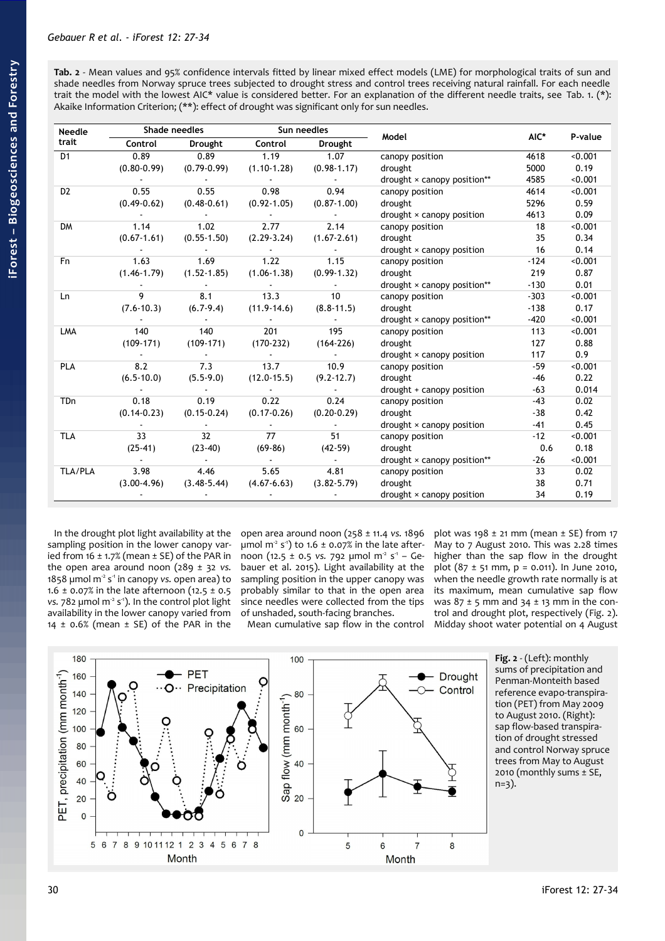<span id="page-3-0"></span>**Tab. 2** - Mean values and 95% confidence intervals fitted by linear mixed effect models (LME) for morphological traits of sun and shade needles from Norway spruce trees subjected to drought stress and control trees receiving natural rainfall. For each needle trait the model with the lowest AIC\* value is considered better. For an explanation of the different needle traits, see [Tab. 1.](#page-2-0) (\*): Akaike Information Criterion; (\*\*): effect of drought was significant only for sun needles.

| Needle         | Shade needles                  |                                                         | Sun needles                                                                                                                            |                                                                                       | Model                                 |                 |         |  |
|----------------|--------------------------------|---------------------------------------------------------|----------------------------------------------------------------------------------------------------------------------------------------|---------------------------------------------------------------------------------------|---------------------------------------|-----------------|---------|--|
| trait          |                                | Control Drought Control Drought                         |                                                                                                                                        |                                                                                       |                                       | AIC*            | P-value |  |
| D <sub>1</sub> |                                | 0.89 0.89 1.19 1.07                                     |                                                                                                                                        |                                                                                       | canopy position                       | 4618            | < 0.001 |  |
|                |                                |                                                         |                                                                                                                                        | $(0.80-0.99)$ $(0.79-0.99)$ $(1.10-1.28)$ $(0.98-1.17)$                               | drought                               | 5000            | 0.19    |  |
|                |                                |                                                         |                                                                                                                                        | the contract of the contract of the contract of                                       | drought × canopy position**           | 4585            | < 0.001 |  |
| D <sub>2</sub> |                                | $0.55$ 0.55                                             |                                                                                                                                        | 0.98 0.94                                                                             | canopy position                       | 4614            | < 0.001 |  |
|                |                                | $(0.49-0.62)$ $(0.48-0.61)$ $(0.92-1.05)$ $(0.87-1.00)$ |                                                                                                                                        |                                                                                       | drought                               | 5296            | 0.59    |  |
|                |                                |                                                         |                                                                                                                                        | $\mathcal{L}^{\mathcal{L}}(\mathbf{z})$ . The $\mathcal{L}^{\mathcal{L}}(\mathbf{z})$ | drought × canopy position             | 4613            | 0.09    |  |
| <b>DM</b>      |                                | $1.14$ $1.02$ $2.77$ $2.14$                             |                                                                                                                                        |                                                                                       | canopy position                       | 18              | < 0.001 |  |
|                |                                |                                                         |                                                                                                                                        | $(0.67-1.61)$ $(0.55-1.50)$ $(2.29-3.24)$ $(1.67-2.61)$                               | drought                               | 35              | 0.34    |  |
|                |                                |                                                         | $\mathcal{L}(\mathcal{L})$ , and $\mathcal{L}(\mathcal{L})$ , and $\mathcal{L}(\mathcal{L})$ , and $\mathcal{L}(\mathcal{L})$          |                                                                                       | drought × canopy position             | $\overline{16}$ | 0.14    |  |
| F <sub>n</sub> |                                | 1.63 1.69 1.22 1.15                                     |                                                                                                                                        |                                                                                       | canopy position                       | $-124$          | < 0.001 |  |
|                |                                |                                                         |                                                                                                                                        | $(1.46-1.79)$ $(1.52-1.85)$ $(1.06-1.38)$ $(0.99-1.32)$                               | drought                               | 219             | 0.87    |  |
|                |                                |                                                         | $\mathcal{L}(\mathcal{L})$ and $\mathcal{L}(\mathcal{L})$ . The $\mathcal{L}(\mathcal{L})$                                             | <b>Contract Contract</b>                                                              | drought $\times$ canopy position**    | $-130$          | 0.01    |  |
| Ln             | $9 \left( \frac{1}{2} \right)$ |                                                         | 8.1 13.3                                                                                                                               | 10                                                                                    | canopy position                       | $-303$          | < 0.001 |  |
|                |                                | $(7.6-10.3)$ $(6.7-9.4)$ $(11.9-14.6)$ $(8.8-11.5)$     |                                                                                                                                        |                                                                                       | drought                               | $-138$          | 0.17    |  |
|                |                                |                                                         |                                                                                                                                        | <b>Contract Contract</b>                                                              | $d$ rought $\times$ canopy position** | $-420$          | < 0.001 |  |
| LMA            | 140                            | 140                                                     |                                                                                                                                        | 201 195                                                                               | canopy position                       | 113             | < 0.001 |  |
|                |                                | $(109-171)$ $(109-171)$ $(170-232)$ $(164-226)$         |                                                                                                                                        |                                                                                       | drought                               | 127             | 0.88    |  |
|                |                                |                                                         | $\mathcal{L}^{\mathcal{L}}(\mathcal{L}^{\mathcal{L}}(\mathcal{L}^{\mathcal{L}}(\mathcal{L}^{\mathcal{L}}(\mathcal{L}^{\mathcal{L}})))$ | $\sim 10^{11}$ km $^{-1}$                                                             | drought × canopy position             | 117             | 0.9     |  |
| PLA            | 8.2                            | 7.3                                                     | 13.7 10.9                                                                                                                              |                                                                                       | canopy position                       | $-59$           | < 0.001 |  |
|                |                                | $(6.5-10.0)$ $(5.5-9.0)$ $(12.0-15.5)$ $(9.2-12.7)$     |                                                                                                                                        |                                                                                       | drought                               | -46             | 0.22    |  |
|                |                                |                                                         |                                                                                                                                        | <b>Contractor</b>                                                                     | drought + canopy position             | $-63$           | 0.014   |  |
| <b>TDn</b>     | 0.18                           | 0.19                                                    | 0.22                                                                                                                                   | 0.24                                                                                  | canopy position                       | $-43$           | 0.02    |  |
|                |                                | $(0.14-0.23)$ $(0.15-0.24)$ $(0.17-0.26)$ $(0.20-0.29)$ |                                                                                                                                        |                                                                                       | drought                               | $-38$           | 0.42    |  |
|                |                                |                                                         |                                                                                                                                        |                                                                                       | $d$ rought $\times$ canopy position   | $-41$           | 0.45    |  |
| <b>TLA</b>     | 33                             |                                                         | 32 77                                                                                                                                  | 51                                                                                    | canopy position                       | $-12$           | < 0.001 |  |
|                |                                | $(25-41)$ $(23-40)$ $(69-86)$ $(42-59)$                 |                                                                                                                                        |                                                                                       | drought                               | 0.6             | 0.18    |  |
|                |                                |                                                         |                                                                                                                                        | <b>Contract Contract</b>                                                              | $d$ rought $\times$ canopy position** | -26             | < 0.001 |  |
| TLA/PLA        |                                | 3.98 4.46                                               | 5.65                                                                                                                                   | 4.81                                                                                  | canopy position                       | 33              | 0.02    |  |
|                |                                | $(3.00-4.96)$ $(3.48-5.44)$ $(4.67-6.63)$ $(3.82-5.79)$ |                                                                                                                                        |                                                                                       | drought                               | 38              | 0.71    |  |
|                |                                |                                                         |                                                                                                                                        |                                                                                       | $d$ rought $\times$ canopy position   | 34              | 0.19    |  |

In the drought plot light availability at the sampling position in the lower canopy varied from 16  $\pm$  1.7% (mean  $\pm$  SE) of the PAR in the open area around noon (289 ± 32 *vs.* 1858 µmol m<sup>2</sup> s<sup>-1</sup> in canopy *vs.* open area) to 1.6  $\pm$  0.07% in the late afternoon (12.5  $\pm$  0.5 *vs.* 782 µmol m<sup>2</sup> s<sup>-1</sup>). In the control plot light availability in the lower canopy varied from 14  $\pm$  0.6% (mean  $\pm$  SE) of the PAR in the

open area around noon (258 ± 11.4 *vs.* 1896 µmol m<sup>2</sup> s<sup>-1</sup>) to 1.6 ± 0.07% in the late afternoon (12.5 ± 0.5 vs. 792 µmol m<sup>2</sup> s<sup>-1</sup> – Gebauer et al. 2015). Light availability at the sampling position in the upper canopy was probably similar to that in the open area since needles were collected from the tips of unshaded, south-facing branches.

Mean cumulative sap flow in the control

plot was 198  $\pm$  21 mm (mean  $\pm$  SE) from 17 May to 7 August 2010. This was 2.28 times higher than the sap flow in the drought plot  $(87 \pm 51 \text{ mm}, \text{p} = 0.011)$ . In June 2010, when the needle growth rate normally is at its maximum, mean cumulative sap flow was  $87 \pm 5$  mm and  $34 \pm 13$  mm in the control and drought plot, respectively [\(Fig. 2\)](#page-3-1). Midday shoot water potential on 4 August



<span id="page-3-1"></span>**Fig. 2** - (Left): monthly sums of precipitation and Penman-Monteith based reference evapo-transpiration (PET) from May 2009 to August 2010. (Right): sap flow-based transpiration of drought stressed and control Norway spruce trees from May to August 2010 (monthly sums ± SE, n=3).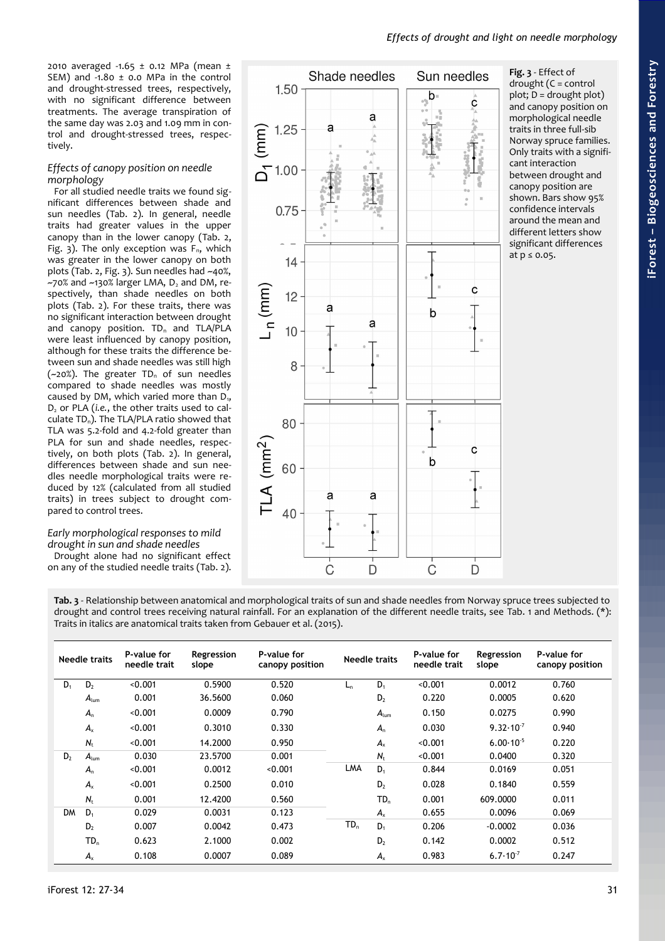Sun needles

2010 averaged -1.65 ± 0.12 MPa (mean ± SEM) and  $-1.80 \pm 0.0$  MPa in the control and drought-stressed trees, respectively, with no significant difference between treatments. The average transpiration of the same day was 2.03 and 1.09 mm in control and drought-stressed trees, respectively.

### *Effects of canopy position on needle morphology*

For all studied needle traits we found significant differences between shade and sun needles [\(Tab. 2\)](#page-3-0). In general, needle traits had greater values in the upper canopy than in the lower canopy [\(Tab. 2,](#page-3-0) [Fig. 3\)](#page-4-0). The only exception was  $F_n$ , which was greater in the lower canopy on both plots [\(Tab. 2,](#page-3-0) [Fig. 3\)](#page-4-0). Sun needles had ~40%,  $-70\%$  and  $-130\%$  larger LMA,  $D_2$  and DM, respectively, than shade needles on both plots [\(Tab. 2\)](#page-3-0). For these traits, there was no significant interaction between drought and canopy position.  $TD_n$  and  $TLA/PLA$ were least influenced by canopy position, although for these traits the difference between sun and shade needles was still high ( $-20\%$ ). The greater TD<sub>n</sub> of sun needles compared to shade needles was mostly caused by DM, which varied more than  $D_{1}$ , D2 or PLA (*i.e.*, the other traits used to calculate  $TD_n$ ). The TLA/PLA ratio showed that TLA was 5.2-fold and 4.2-fold greater than PLA for sun and shade needles, respectively, on both plots [\(Tab. 2\)](#page-3-0). In general, differences between shade and sun needles needle morphological traits were reduced by 12% (calculated from all studied traits) in trees subject to drought compared to control trees.

# *Early morphological responses to mild drought in sun and shade needles*

Drought alone had no significant effect on any of the studied needle traits [\(Tab. 2\)](#page-3-0).



Shade needles

<span id="page-4-0"></span>**Fig. 3** - Effect of drought (C = control plot; D = drought plot) and canopy position on morphological needle traits in three full-sib Norway spruce families. Only traits with a significant interaction between drought and canopy position are shown. Bars show 95% confidence intervals around the mean and different letters show significant differences at  $p \le 0.05$ .

<span id="page-4-1"></span>**Tab. 3** - Relationship between anatomical and morphological traits of sun and shade needles from Norway spruce trees subjected to drought and control trees receiving natural rainfall. For an explanation of the different needle traits, see [Tab. 1](#page-2-0) and Methods. (\*): Traits in italics are anatomical traits taken from Gebauer et al. (2015).

|                | Needle traits    | P-value for<br>needle trait | Regression<br>slope | P-value for<br>canopy position |                 | <b>Needle traits</b> | P-value for<br>needle trait | Regression<br>slope  | P-value for<br>canopy position |
|----------------|------------------|-----------------------------|---------------------|--------------------------------|-----------------|----------------------|-----------------------------|----------------------|--------------------------------|
| $D_1$          | D <sub>2</sub>   | < 0.001                     | 0.5900              | 0.520                          | L <sub>n</sub>  | $D_1$                | < 0.001                     | 0.0012               | 0.760                          |
|                | $A_{\text{lum}}$ | 0.001                       | 36.5600             | 0.060                          |                 | D <sub>2</sub>       | 0.220                       | 0.0005               | 0.620                          |
|                | $A_{n}$          | < 0.001                     | 0.0009              | 0.790                          |                 | $A_{\text{lum}}$     | 0.150                       | 0.0275               | 0.990                          |
|                | $A_{x}$          | < 0.001                     | 0.3010              | 0.330                          |                 | $A_{n}$              | 0.030                       | $9.32 \cdot 10^{7}$  | 0.940                          |
|                | $N_{\rm t}$      | < 0.001                     | 14.2000             | 0.950                          |                 | $A_{x}$              | < 0.001                     | $6.00 \cdot 10^{-5}$ | 0.220                          |
| D <sub>2</sub> | $A_{\text{lum}}$ | 0.030                       | 23.5700             | 0.001                          |                 | $N_{t}$              | < 0.001                     | 0.0400               | 0.320                          |
|                | $A_{n}$          | < 0.001                     | 0.0012              | < 0.001                        | LMA             | $D_1$                | 0.844                       | 0.0169               | 0.051                          |
|                | $A_{x}$          | < 0.001                     | 0.2500              | 0.010                          |                 | D <sub>2</sub>       | 0.028                       | 0.1840               | 0.559                          |
|                | $N_{t}$          | 0.001                       | 12,4200             | 0.560                          |                 | $TD_n$               | 0.001                       | 609,0000             | 0.011                          |
| <b>DM</b>      | $D_1$            | 0.029                       | 0.0031              | 0.123                          |                 | $A_{x}$              | 0.655                       | 0.0096               | 0.069                          |
|                | D <sub>2</sub>   | 0.007                       | 0.0042              | 0.473                          | $\mathsf{TD}_n$ | $D_1$                | 0.206                       | $-0.0002$            | 0.036                          |
|                | $TD_n$           | 0.623                       | 2.1000              | 0.002                          |                 | D <sub>2</sub>       | 0.142                       | 0.0002               | 0.512                          |
|                | $A_{x}$          | 0.108                       | 0.0007              | 0.089                          |                 | $A_{x}$              | 0.983                       | $6.7 \cdot 10^{7}$   | 0.247                          |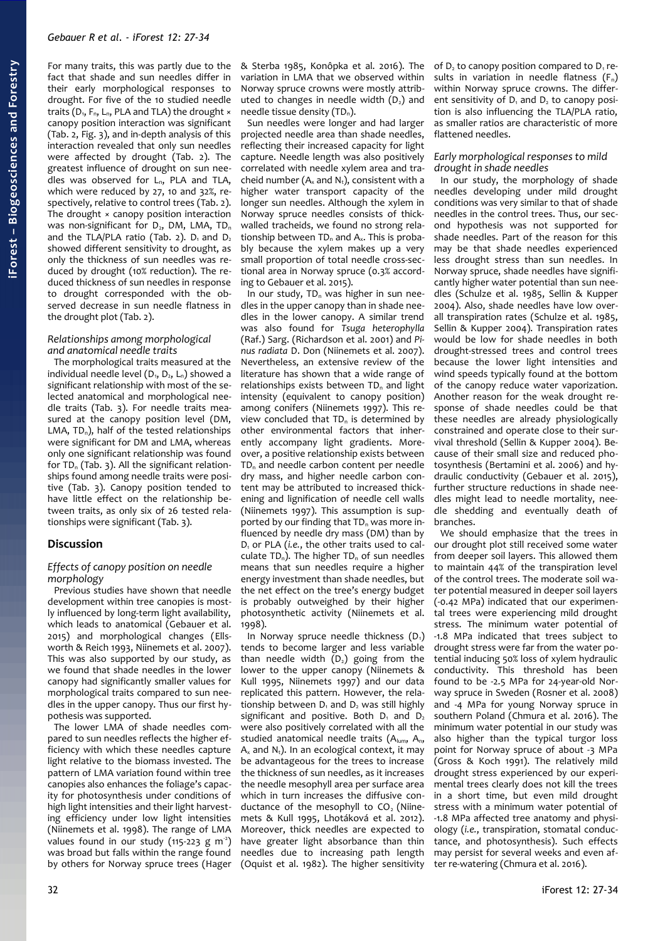For many traits, this was partly due to the fact that shade and sun needles differ in their early morphological responses to drought. For five of the 10 studied needle traits ( $D_1$ ,  $F_n$ ,  $L_n$ , PLA and TLA) the drought  $\times$ canopy position interaction was significant [\(Tab. 2,](#page-3-0) [Fig. 3\)](#page-4-0), and in-depth analysis of this interaction revealed that only sun needles were affected by drought [\(Tab. 2\)](#page-3-0). The greatest influence of drought on sun needles was observed for  $L_{n}$ , PLA and TLA, which were reduced by 27, 10 and 32%, respectively, relative to control trees [\(Tab. 2\)](#page-3-0). The drought × canopy position interaction was non-significant for  $D_2$ , DM, LMA, TD<sub>n</sub> and the TLA/PLA ratio [\(Tab. 2\)](#page-3-0).  $D_1$  and  $D_2$ showed different sensitivity to drought, as only the thickness of sun needles was reduced by drought (10% reduction). The reduced thickness of sun needles in response to drought corresponded with the observed decrease in sun needle flatness in the drought plot [\(Tab. 2\)](#page-3-0).

### *Relationships among morphological and anatomical needle traits*

The morphological traits measured at the individual needle level  $(D_1, D_2, L_1)$  showed a significant relationship with most of the selected anatomical and morphological needle traits [\(Tab. 3\)](#page-4-1). For needle traits measured at the canopy position level (DM, LMA,  $TD_n$ ), half of the tested relationships were significant for DM and LMA, whereas only one significant relationship was found for  $TD_n$  [\(Tab. 3\)](#page-4-1). All the significant relationships found among needle traits were positive [\(Tab. 3\)](#page-4-1). Canopy position tended to have little effect on the relationship between traits, as only six of 26 tested relationships were significant [\(Tab. 3\)](#page-4-1).

# **Discussion**

### *Effects of canopy position on needle morphology*

Previous studies have shown that needle development within tree canopies is mostly influenced by long-term light availability, which leads to anatomical (Gebauer et al. 2015) and morphological changes (Ellsworth & Reich 1993, Niinemets et al. 2007). This was also supported by our study, as we found that shade needles in the lower canopy had significantly smaller values for morphological traits compared to sun needles in the upper canopy. Thus our first hypothesis was supported.

The lower LMA of shade needles compared to sun needles reflects the higher efficiency with which these needles capture light relative to the biomass invested. The pattern of LMA variation found within tree canopies also enhances the foliage's capacity for photosynthesis under conditions of high light intensities and their light harvesting efficiency under low light intensities (Niinemets et al. 1998). The range of LMA values found in our study (115-223 g  $m^2$ ) was broad but falls within the range found by others for Norway spruce trees (Hager & Sterba 1985, Konôpka et al. 2016). The variation in LMA that we observed within Norway spruce crowns were mostly attributed to changes in needle width  $(D<sub>2</sub>)$  and needle tissue density  $(TD_n)$ .

Sun needles were longer and had larger projected needle area than shade needles, reflecting their increased capacity for light capture. Needle length was also positively correlated with needle xylem area and tracheid number  $(A_x$  and  $N_t$ ), consistent with a higher water transport capacity of the longer sun needles. Although the xylem in Norway spruce needles consists of thickwalled tracheids, we found no strong relationship between  $TD_n$  and  $A_x$ . This is probably because the xylem makes up a very small proportion of total needle cross-sectional area in Norway spruce (0.3% according to Gebauer et al. 2015).

In our study,  $TD_n$  was higher in sun needles in the upper canopy than in shade needles in the lower canopy. A similar trend was also found for *Tsuga heterophylla* (Raf.) Sarg. (Richardson et al. 2001) and *Pinus radiata* D. Don (Niinemets et al. 2007). Nevertheless, an extensive review of the literature has shown that a wide range of relationships exists between  $TD_n$  and light intensity (equivalent to canopy position) among conifers (Niinemets 1997). This review concluded that  $TD_n$  is determined by other environmental factors that inherently accompany light gradients. Moreover, a positive relationship exists between TD<sub>n</sub> and needle carbon content per needle dry mass, and higher needle carbon content may be attributed to increased thickening and lignification of needle cell walls (Niinemets 1997). This assumption is supported by our finding that  $TD_n$  was more influenced by needle dry mass (DM) than by D<sub>1</sub> or PLA (*i.e.*, the other traits used to calculate  $TD_n$ ). The higher  $TD_n$  of sun needles means that sun needles require a higher energy investment than shade needles, but the net effect on the tree's energy budget is probably outweighed by their higher photosynthetic activity (Niinemets et al. 1998).

In Norway spruce needle thickness  $(D_1)$ tends to become larger and less variable than needle width  $(D<sub>2</sub>)$  going from the lower to the upper canopy (Niinemets & Kull 1995, Niinemets 1997) and our data replicated this pattern. However, the relationship between  $D_1$  and  $D_2$  was still highly significant and positive. Both  $D_1$  and  $D_2$ were also positively correlated with all the studied anatomical needle traits  $(A_{\text{lum}}, A_{\text{n}}, A_{\text{n}})$  $A_x$  and  $N_t$ ). In an ecological context, it may be advantageous for the trees to increase the thickness of sun needles, as it increases the needle mesophyll area per surface area which in turn increases the diffusive conductance of the mesophyll to CO<sub>2</sub> (Niinemets & Kull 1995, Lhotáková et al. 2012). Moreover, thick needles are expected to have greater light absorbance than thin needles due to increasing path length (Oquist et al. 1982). The higher sensitivity

of  $D_2$  to canopy position compared to  $D_1$  results in variation in needle flatness  $(F_n)$ within Norway spruce crowns. The different sensitivity of  $D_1$  and  $D_2$  to canopy position is also influencing the TLA/PLA ratio, as smaller ratios are characteristic of more flattened needles.

#### *Early morphological responses to mild drought in shade needles*

In our study, the morphology of shade needles developing under mild drought conditions was very similar to that of shade needles in the control trees. Thus, our second hypothesis was not supported for shade needles. Part of the reason for this may be that shade needles experienced less drought stress than sun needles. In Norway spruce, shade needles have significantly higher water potential than sun needles (Schulze et al. 1985, Sellin & Kupper 2004). Also, shade needles have low overall transpiration rates (Schulze et al. 1985, Sellin & Kupper 2004). Transpiration rates would be low for shade needles in both drought-stressed trees and control trees because the lower light intensities and wind speeds typically found at the bottom of the canopy reduce water vaporization. Another reason for the weak drought response of shade needles could be that these needles are already physiologically constrained and operate close to their survival threshold (Sellin & Kupper 2004). Because of their small size and reduced photosynthesis (Bertamini et al. 2006) and hydraulic conductivity (Gebauer et al. 2015), further structure reductions in shade needles might lead to needle mortality, needle shedding and eventually death of branches.

We should emphasize that the trees in our drought plot still received some water from deeper soil layers. This allowed them to maintain 44% of the transpiration level of the control trees. The moderate soil water potential measured in deeper soil layers (-0.42 MPa) indicated that our experimental trees were experiencing mild drought stress. The minimum water potential of -1.8 MPa indicated that trees subject to drought stress were far from the water potential inducing 50% loss of xylem hydraulic conductivity. This threshold has been found to be -2.5 MPa for 24-year-old Norway spruce in Sweden (Rosner et al. 2008) and -4 MPa for young Norway spruce in southern Poland (Chmura et al. 2016). The minimum water potential in our study was also higher than the typical turgor loss point for Norway spruce of about -3 MPa (Gross & Koch 1991). The relatively mild drought stress experienced by our experimental trees clearly does not kill the trees in a short time, but even mild drought stress with a minimum water potential of -1.8 MPa affected tree anatomy and physiology (*i.e.*, transpiration, stomatal conductance, and photosynthesis). Such effects may persist for several weeks and even after re-watering (Chmura et al. 2016).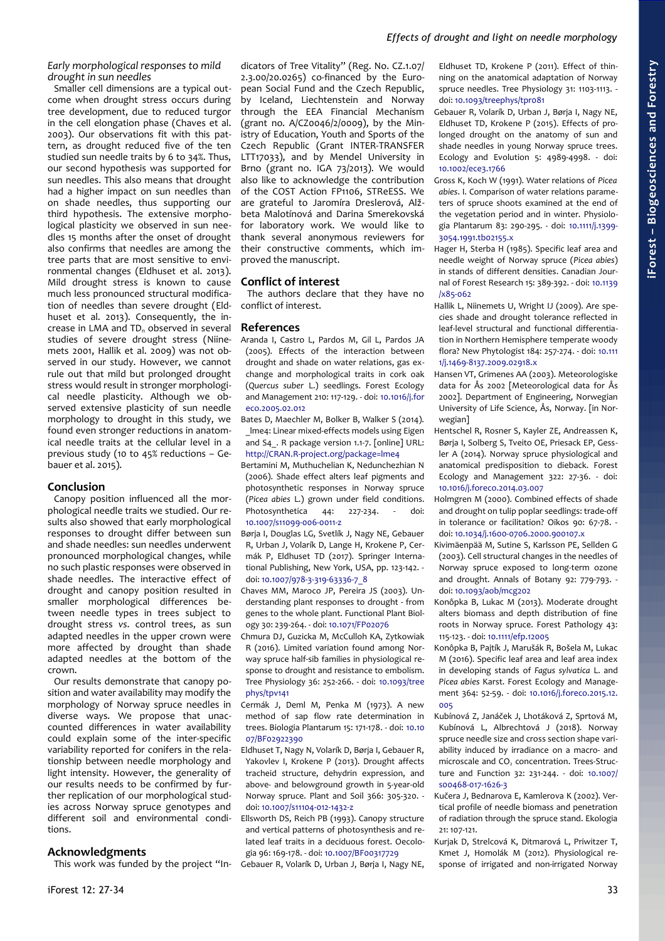# *Early morphological responses to mild drought in sun needles*

Smaller cell dimensions are a typical outcome when drought stress occurs during tree development, due to reduced turgor in the cell elongation phase (Chaves et al. 2003). Our observations fit with this pattern, as drought reduced five of the ten studied sun needle traits by 6 to 34%. Thus, our second hypothesis was supported for sun needles. This also means that drought had a higher impact on sun needles than on shade needles, thus supporting our third hypothesis. The extensive morphological plasticity we observed in sun needles 15 months after the onset of drought also confirms that needles are among the tree parts that are most sensitive to environmental changes (Eldhuset et al. 2013). Mild drought stress is known to cause much less pronounced structural modification of needles than severe drought (Eldhuset et al. 2013). Consequently, the increase in LMA and  $TD_n$  observed in several studies of severe drought stress (Niinemets 2001, Hallik et al. 2009) was not observed in our study. However, we cannot rule out that mild but prolonged drought stress would result in stronger morphological needle plasticity. Although we observed extensive plasticity of sun needle morphology to drought in this study, we found even stronger reductions in anatomical needle traits at the cellular level in a previous study (10 to 45% reductions – Gebauer et al. 2015).

# **Conclusion**

Canopy position influenced all the morphological needle traits we studied. Our results also showed that early morphological responses to drought differ between sun and shade needles: sun needles underwent pronounced morphological changes, while no such plastic responses were observed in shade needles. The interactive effect of drought and canopy position resulted in smaller morphological differences between needle types in trees subject to drought stress *vs*. control trees, as sun adapted needles in the upper crown were more affected by drought than shade adapted needles at the bottom of the crown.

Our results demonstrate that canopy position and water availability may modify the morphology of Norway spruce needles in diverse ways. We propose that unaccounted differences in water availability could explain some of the inter-specific variability reported for conifers in the relationship between needle morphology and light intensity. However, the generality of our results needs to be confirmed by further replication of our morphological studies across Norway spruce genotypes and different soil and environmental conditions.

# **Acknowledgments**

This work was funded by the project "In-

dicators of Tree Vitality" (Reg. No. CZ.1.07/ 2.3.00/20.0265) co-financed by the European Social Fund and the Czech Republic, by Iceland, Liechtenstein and Norway through the EEA Financial Mechanism (grant no. A/CZ0046/2/0009), by the Ministry of Education, Youth and Sports of the Czech Republic (Grant INTER-TRANSFER LTT17033), and by Mendel University in Brno (grant no. IGA 73/2013). We would also like to acknowledge the contribution of the COST Action FP1106, STReESS. We are grateful to Jaromíra Dreslerová, Alžbeta Malotínová and Darina Smerekovská for laboratory work. We would like to thank several anonymous reviewers for their constructive comments, which improved the manuscript.

# **Conflict of interest**

The authors declare that they have no conflict of interest.

# **References**

- Aranda I, Castro L, Pardos M, Gil L, Pardos JA (2005). Effects of the interaction between drought and shade on water relations, gas exchange and morphological traits in cork oak (*Quercus suber* L.) seedlings. Forest Ecology and Management 210: 117-129. - doi: [10.1016/j.for](https://doi.org/10.1016/j.foreco.2005.02.012) [eco.2005.02.012](https://doi.org/10.1016/j.foreco.2005.02.012)
- Bates D, Maechler M, Bolker B, Walker S (2014). \_lme4: Linear mixed-effects models using Eigen and S4. R package version 1.1-7. [online] URL: <http://CRAN.R-project.org/package=lme4>
- Bertamini M, Muthuchelian K, Nedunchezhian N (2006). Shade effect alters leaf pigments and photosynthetic responses in Norway spruce (*Picea abies* L.) grown under field conditions. Photosynthetica 44: 227-234. - doi: [10.1007/s11099-006-0011-z](https://doi.org/10.1007/s11099-006-0011-z)
- Børia I, Douglas LG, Svetlík J, Nagy NE, Gebauer R, Urban J, Volarík D, Lange H, Krokene P, Cermák P, Eldhuset TD (2017). Springer International Publishing, New York, USA, pp. 123-142. doi: [10.1007/978-3-319-63336-7\\_8](https://doi.org/10.1007/978-3-319-63336-7_8)
- Chaves MM, Maroco JP, Pereira JS (2003). Understanding plant responses to drought - from genes to the whole plant. Functional Plant Biology 30: 239-264. - doi: [10.1071/FP02076](https://doi.org/10.1071/FP02076)
- Chmura DJ, Guzicka M, McCulloh KA, Zytkowiak R (2016). Limited variation found among Norway spruce half-sib families in physiological response to drought and resistance to embolism. Tree Physiology 36: 252-266. - doi: [10.1093/tree](https://doi.org/10.1093/treephys/tpv141) [phys/tpv141](https://doi.org/10.1093/treephys/tpv141)
- Cermák J, Deml M, Penka M (1973). A new method of sap flow rate determination in trees. Biologia Plantarum 15: 171-178. - doi: [10.10](https://doi.org/10.1007/BF02922390) [07/BF02922390](https://doi.org/10.1007/BF02922390)
- Eldhuset T, Nagy N, Volarík D, Børja I, Gebauer R, Yakovlev I, Krokene P (2013). Drought affects tracheid structure, dehydrin expression, and above- and belowground growth in 5-year-old Norway spruce. Plant and Soil 366: 305-320. doi: [10.1007/s11104-012-1432-z](https://doi.org/10.1007/s11104-012-1432-z)
- Ellsworth DS, Reich PB (1993). Canopy structure and vertical patterns of photosynthesis and related leaf traits in a deciduous forest. Oecologia 96: 169-178. - doi: [10.1007/BF00317729](https://doi.org/10.1007/BF00317729)

Gebauer R, Volarík D, Urban J, Børja I, Nagy NE,

Eldhuset TD, Krokene P (2011). Effect of thinning on the anatomical adaptation of Norway spruce needles. Tree Physiology 31: 1103-1113. doi: [10.1093/treephys/tpr081](https://doi.org/10.1093/treephys/tpr081)

Gebauer R, Volarík D, Urban J, Børja I, Nagy NE, Eldhuset TD, Krokene P (2015). Effects of prolonged drought on the anatomy of sun and shade needles in young Norway spruce trees. Ecology and Evolution 5: 4989-4998. - doi: [10.1002/ece3.1766](https://doi.org/10.1002/ece3.1766)

- Gross K, Koch W (1991). Water relations of *Picea abies*. I. Comparison of water relations parameters of spruce shoots examined at the end of the vegetation period and in winter. Physiologia Plantarum 83: 290-295. - doi: [10.1111/j.1399-](https://doi.org/10.1111/j.1399-3054.1991.tb02155.x) [3054.1991.tb02155.x](https://doi.org/10.1111/j.1399-3054.1991.tb02155.x)
- Hager H, Sterba H (1985). Specific leaf area and needle weight of Norway spruce (*Picea abies*) in stands of different densities. Canadian Journal of Forest Research 15: 389-392. - doi: [10.1139](https://doi.org/10.1139/x85-062) [/x85-062](https://doi.org/10.1139/x85-062)
- Hallik L, Niinemets U, Wright IJ (2009). Are species shade and drought tolerance reflected in leaf-level structural and functional differentiation in Northern Hemisphere temperate woody flora? New Phytologist 184: 257-274. - doi: [10.111](https://doi.org/10.1111/j.1469-8137.2009.02918.x) [1/j.1469-8137.2009.02918.x](https://doi.org/10.1111/j.1469-8137.2009.02918.x)
- Hansen VT, Grimenes AA (2003). Meteorologiske data for Ås 2002 [Meteorological data for Ås 2002]. Department of Engineering, Norwegian University of Life Science, Ås, Norway. [in Norwegian]
- Hentschel R, Rosner S, Kayler ZE, Andreassen K, Børja I, Solberg S, Tveito OE, Priesack EP, Gessler A (2014). Norway spruce physiological and anatomical predisposition to dieback. Forest Ecology and Management 322: 27-36. - doi: [10.1016/j.foreco.2014.03.007](https://doi.org/10.1016/j.foreco.2014.03.007)
- Holmgren M (2000). Combined effects of shade and drought on tulip poplar seedlings: trade-off in tolerance or facilitation? Oikos 90: 67-78. doi: [10.1034/j.1600-0706.2000.900107.x](https://doi.org/10.1034/j.1600-0706.2000.900107.x)
- Kivimäenpää M, Sutine S, Karlsson PE, Sellden G (2003). Cell structural changes in the needles of Norway spruce exposed to long-term ozone and drought. Annals of Botany 92: 779-793. doi: [10.1093/aob/mcg202](https://doi.org/10.1093/aob/mcg202)
- Konôpka B, Lukac M (2013). Moderate drought alters biomass and depth distribution of fine roots in Norway spruce. Forest Pathology 43: 115-123. - doi: [10.1111/efp.12005](https://doi.org/10.1111/efp.12005)
- Konôpka B, Pajtík J, Marušák R, Bošela M, Lukac M (2016). Specific leaf area and leaf area index in developing stands of *Fagus sylvatica* L. and *Picea abies* Karst. Forest Ecology and Management 364: 52-59. - doi: [10.1016/j.foreco.2015.12.](https://doi.org/10.1016/j.foreco.2015.12.005) [005](https://doi.org/10.1016/j.foreco.2015.12.005)
- Kubínová Z, Janáček J, Lhotáková Z, Sprtová M, Kubínová L, Albrechtová J (2018). Norway spruce needle size and cross section shape variability induced by irradiance on a macro- and microscale and  $CO<sub>2</sub>$  concentration. Trees-Structure and Function 32: 231-244. - doi: [10.1007/](https://doi.org/10.1007/s00468-017-1626-3) [s00468-017-1626-3](https://doi.org/10.1007/s00468-017-1626-3)
- Kučera J, Bednarova E, Kamlerova K (2002). Vertical profile of needle biomass and penetration of radiation through the spruce stand. Ekologia 21: 107-121.
- Kurjak D, Strelcová K, Ditmarová L, Priwitzer T, Kmet J, Homolák M (2012). Physiological response of irrigated and non-irrigated Norway